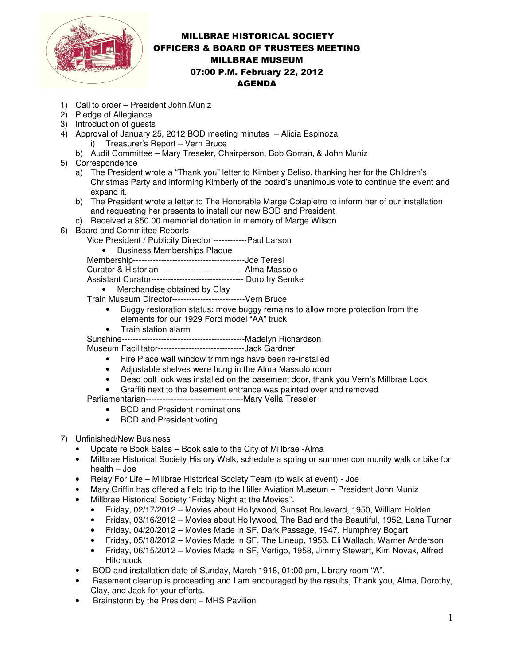

## MILLBRAE HISTORICAL SOCIETY OFFICERS & BOARD OF TRUSTEES MEETING MILLBRAE MUSEUM 07:00 P.M. February 22, 2012 AGENDA

- 1) Call to order President John Muniz
- 2) Pledge of Allegiance
- 3) Introduction of guests
- 4) Approval of January 25, 2012 BOD meeting minutes Alicia Espinoza i) Treasurer's Report – Vern Bruce
	- b) Audit Committee Mary Treseler, Chairperson, Bob Gorran, & John Muniz
- 5) Correspondence
	- a) The President wrote a "Thank you" letter to Kimberly Beliso, thanking her for the Children's Christmas Party and informing Kimberly of the board's unanimous vote to continue the event and expand it.
	- b) The President wrote a letter to The Honorable Marge Colapietro to inform her of our installation and requesting her presents to install our new BOD and President
	- c) Received a \$50.00 memorial donation in memory of Marge Wilson
- 6) Board and Committee Reports
	- Vice President / Publicity Director ------------Paul Larson
		- Business Memberships Plaque
	- Membership----------------------------------------Joe Teresi

Curator & Historian-------------------------------Alma Massolo

Assistant Curator--------------------------------- Dorothy Semke

• Merchandise obtained by Clay

- Train Museum Director--------------------------Vern Bruce
	- Buggy restoration status: move buggy remains to allow more protection from the elements for our 1929 Ford model "AA" truck
	- Train station alarm

Sunshine--------------------------------------------Madelyn Richardson

Museum Facilitator-------------------------------Jack Gardner

- Fire Place wall window trimmings have been re-installed
- Adjustable shelves were hung in the Alma Massolo room
- Dead bolt lock was installed on the basement door, thank you Vern's Millbrae Lock

• Graffiti next to the basement entrance was painted over and removed

Parliamentarian-----------------------------------Mary Vella Treseler

- BOD and President nominations
- BOD and President voting
- 7) Unfinished/New Business
	- Update re Book Sales Book sale to the City of Millbrae -Alma
	- Millbrae Historical Society History Walk, schedule a spring or summer community walk or bike for health – Joe
	- Relay For Life Millbrae Historical Society Team (to walk at event) Joe
	- Mary Griffin has offered a field trip to the Hiller Aviation Museum President John Muniz
	- Millbrae Historical Society "Friday Night at the Movies".
		- Friday, 02/17/2012 Movies about Hollywood, Sunset Boulevard, 1950, William Holden
		- Friday, 03/16/2012 Movies about Hollywood, The Bad and the Beautiful, 1952, Lana Turner
		- Friday, 04/20/2012 Movies Made in SF, Dark Passage, 1947, Humphrey Bogart
		- Friday, 05/18/2012 Movies Made in SF, The Lineup, 1958, Eli Wallach, Warner Anderson
		- Friday, 06/15/2012 Movies Made in SF, Vertigo, 1958, Jimmy Stewart, Kim Novak, Alfred Hitchcock
	- BOD and installation date of Sunday, March 1918, 01:00 pm, Library room "A".
	- Basement cleanup is proceeding and I am encouraged by the results, Thank you, Alma, Dorothy, Clay, and Jack for your efforts.
	- Brainstorm by the President MHS Pavilion